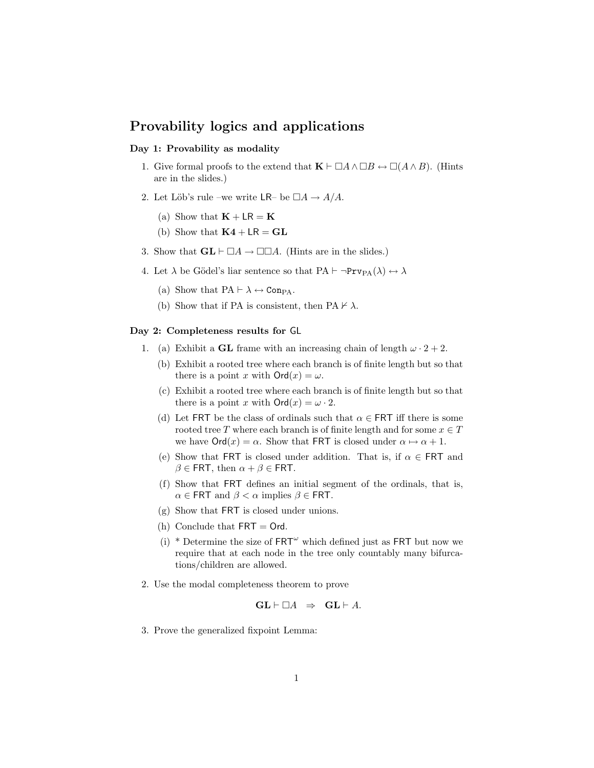# Provability logics and applications

## Day 1: Provability as modality

- 1. Give formal proofs to the extend that  $\mathbf{K} \vdash \Box A \land \Box B \leftrightarrow \Box (A \land B)$ . (Hints are in the slides.)
- 2. Let Löb's rule –we write LR– be  $\Box A \rightarrow A/A$ .
	- (a) Show that  $\mathbf{K} + \mathsf{LR} = \mathbf{K}$
	- (b) Show that  $\mathbf{K4} + \mathbf{LR} = \mathbf{GL}$
- 3. Show that  $GL \vdash \Box A \rightarrow \Box \Box A$ . (Hints are in the slides.)
- 4. Let  $\lambda$  be Gödel's liar sentence so that  $PA \vdash \neg Prv_{PA}(\lambda) \leftrightarrow \lambda$ 
	- (a) Show that  $PA \vdash \lambda \leftrightarrow \text{Comp}_A$ .
	- (b) Show that if PA is consistent, then PA  $\nvdash \lambda$ .

### Day 2: Completeness results for GL

- 1. (a) Exhibit a **GL** frame with an increasing chain of length  $\omega \cdot 2 + 2$ .
	- (b) Exhibit a rooted tree where each branch is of finite length but so that there is a point x with  $\mathsf{Ord}(x)=\omega$ .
	- (c) Exhibit a rooted tree where each branch is of finite length but so that there is a point x with  $\text{Ord}(x) = \omega \cdot 2$ .
	- (d) Let FRT be the class of ordinals such that  $\alpha \in$  FRT iff there is some rooted tree T where each branch is of finite length and for some  $x \in T$ we have  $\text{Ord}(x) = \alpha$ . Show that FRT is closed under  $\alpha \mapsto \alpha + 1$ .
	- (e) Show that FRT is closed under addition. That is, if  $\alpha \in \text{FRT}$  and  $\beta \in \text{FRT}$ , then  $\alpha + \beta \in \text{FRT}$ .
	- (f) Show that FRT defines an initial segment of the ordinals, that is,  $\alpha \in \textsf{FRT}$  and  $\beta < \alpha$  implies  $\beta \in \textsf{FRT}$ .
	- (g) Show that FRT is closed under unions.
	- (h) Conclude that  $FRT = Ord$ .
	- (i) \* Determine the size of  $FRT^{\omega}$  which defined just as FRT but now we require that at each node in the tree only countably many bifurcations/children are allowed.
- 2. Use the modal completeness theorem to prove

$$
GL \vdash \Box A \;\; \Rightarrow \;\; GL \vdash A.
$$

3. Prove the generalized fixpoint Lemma: